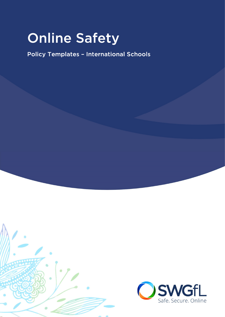# **Online Safety**

**Policy Templates - International Schools** 



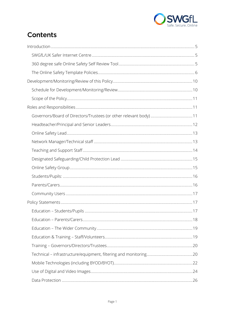

### **Contents**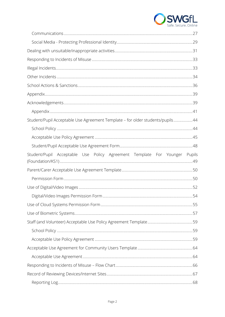

| Student/Pupil Acceptable Use Agreement Template - for older students/pupils44 |  |
|-------------------------------------------------------------------------------|--|
|                                                                               |  |
|                                                                               |  |
|                                                                               |  |
| Student/Pupil Acceptable Use Policy Agreement Template For Younger Pupils     |  |
|                                                                               |  |
|                                                                               |  |
|                                                                               |  |
|                                                                               |  |
|                                                                               |  |
|                                                                               |  |
|                                                                               |  |
|                                                                               |  |
|                                                                               |  |
|                                                                               |  |
|                                                                               |  |
|                                                                               |  |
|                                                                               |  |
|                                                                               |  |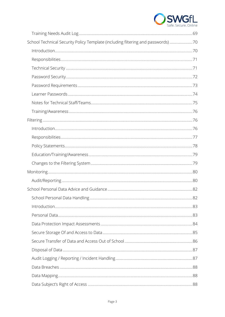

| School Technical Security Policy Template (including filtering and passwords) 70 |     |
|----------------------------------------------------------------------------------|-----|
|                                                                                  |     |
|                                                                                  |     |
|                                                                                  |     |
|                                                                                  |     |
|                                                                                  |     |
|                                                                                  |     |
|                                                                                  |     |
|                                                                                  |     |
|                                                                                  |     |
|                                                                                  |     |
|                                                                                  |     |
|                                                                                  |     |
|                                                                                  |     |
|                                                                                  |     |
|                                                                                  |     |
|                                                                                  |     |
|                                                                                  |     |
| School Personal Data Handling                                                    | .82 |
|                                                                                  |     |
|                                                                                  |     |
|                                                                                  |     |
|                                                                                  |     |
|                                                                                  |     |
|                                                                                  |     |
|                                                                                  |     |
|                                                                                  |     |
|                                                                                  |     |
|                                                                                  |     |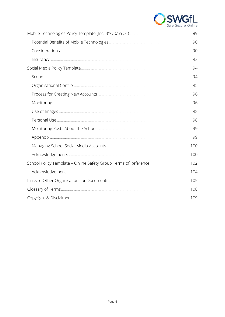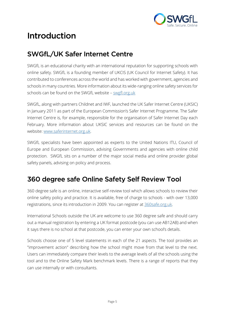

## **Introduction**

#### **SWGfL/UK Safer Internet Centre**

SWGfL is an educational charity with an international reputation for supporting schools with online safety. SWGfL is a founding member of UKCIS (UK Council for Internet Safety). It has contributed to conferences across the world and has worked with government, agencies and schools in many countries. More information about its wide-ranging online safety services for schools can be found on the SWGfL website – swgfl.org.uk

SWGfL, along with partners Childnet and IWF, launched the UK Safer Internet Centre (UKSIC) in January 2011 as part of the European Commission's Safer Internet Programme. The Safer Internet Centre is, for example, responsible for the organisation of Safer Internet Day each February. More information about UKSIC services and resources can be found on the website: www.saferinternet.org.uk.

SWGfL specialists have been appointed as experts to the United Nations ITU, Council of Europe and European Commission, advising Governments and agencies with online child protection. SWGfL sits on a number of the major social media and online provider global safety panels, advising on policy and process.

#### 360 degree safe Online Safety Self Review Tool

360 degree safe is an online, interactive self-review tool which allows schools to review their online safety policy and practice. It is available, free of charge to schools - with over 13,000 registrations, since its introduction in 2009. You can register at 360safe.org.uk.

International Schools outside the UK are welcome to use 360 degree safe and should carry out a manual registration by entering a UK format postcode (you can use AB12AB) and when it says there is no school at that postcode, you can enter your own school's details.

Schools choose one of 5 level statements in each of the 21 aspects. The tool provides an "improvement action" describing how the school might move from that level to the next. Users can immediately compare their levels to the average levels of all the schools using the tool and to the Online Safety Mark benchmark levels. There is a range of reports that they can use internally or with consultants.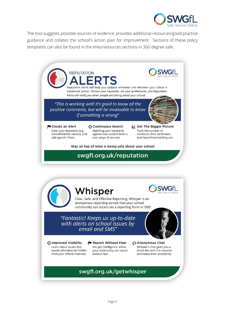

The tool suggests possible sources of evidence, provides additional resources/good practice guidance and collates the school's action plan for improvement. Sections of these policy templates can also be found in the links/resources sections in 360 degree safe.

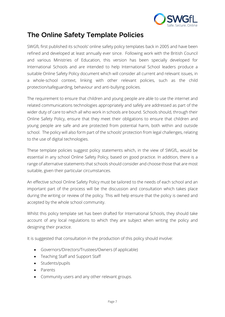

#### **The Online Safety Template Policies**

SWGfL first published its schools' online safety policy templates back in 2005 and have been refined and developed at least annually ever since. Following work with the British Council and various Ministries of Education, this version has been specially developed for International Schools and are intended to help International School leaders produce a suitable Online Safety Policy document which will consider all current and relevant issues, in a whole-school context, linking with other relevant policies, such as the child protection/safeguarding, behaviour and anti-bullying policies.

The requirement to ensure that children and young people are able to use the internet and related communications technologies appropriately and safely are addressed as part of the wider duty of care to which all who work in schools are bound. Schools should, through their Online Safety Policy, ensure that they meet their obligations to ensure that children and young people are safe and are protected from potential harm, both within and outside school. The policy will also form part of the schools' protection from legal challenges, relating to the use of digital technologies.

These template policies suggest policy statements which, in the view of SWGfL, would be essential in any school Online Safety Policy, based on good practice. In addition, there is a range of alternative statements that schools should consider and choose those that are most suitable, given their particular circumstances.

An effective school Online Safety Policy must be tailored to the needs of each school and an important part of the process will be the discussion and consultation which takes place during the writing or review of the policy. This will help ensure that the policy is owned and accepted by the whole school community.

Whilst this policy template set has been drafted for International Schools, they should take account of any local regulations to which they are subject when writing the policy and designing their practice.

It is suggested that consultation in the production of this policy should involve:

- Governors/Directors/Trustees/Owners (if applicable)
- Teaching Staff and Support Staff
- Students/pupils
- Parents
- Community users and any other relevant groups.